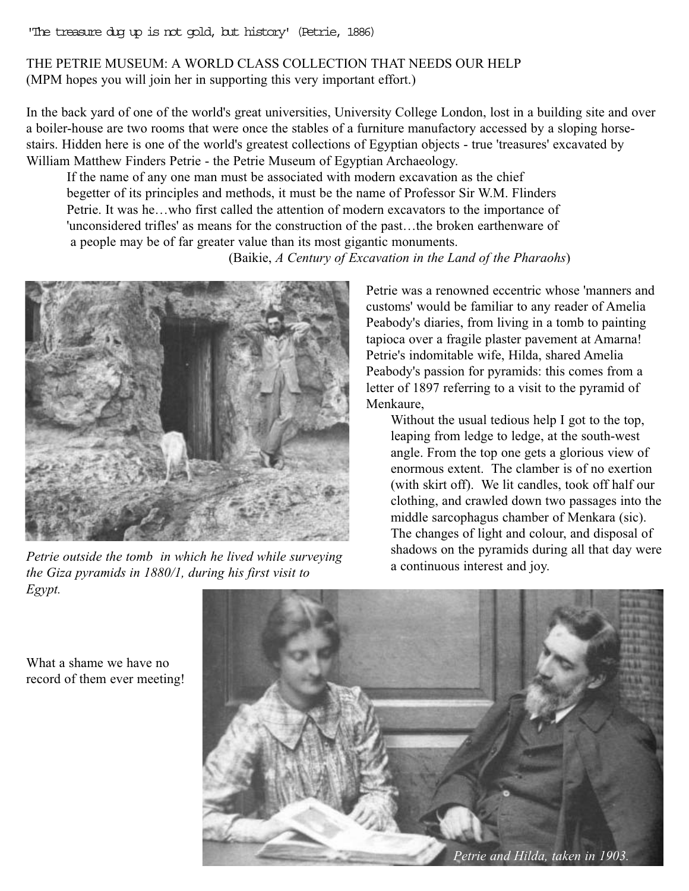'The treasure dug up is not gold, but history' (Petrie, 1886)

## THE PETRIE MUSEUM: A WORLD CLASS COLLECTION THAT NEEDS OUR HELP (MPM hopes you will join her in supporting this very important effort.)

In the back yard of one of the world's great universities, University College London, lost in a building site and over a boiler-house are two rooms that were once the stables of a furniture manufactory accessed by a sloping horsestairs. Hidden here is one of the world's greatest collections of Egyptian objects - true 'treasures' excavated by William Matthew Finders Petrie - the Petrie Museum of Egyptian Archaeology.

If the name of any one man must be associated with modern excavation as the chief begetter of its principles and methods, it must be the name of Professor Sir W.M. Flinders Petrie. It was he…who first called the attention of modern excavators to the importance of 'unconsidered trifles' as means for the construction of the past…the broken earthenware of a people may be of far greater value than its most gigantic monuments.





*Petrie outside the tomb in which he lived while surveying the Giza pyramids in 1880/1, during his first visit to Egypt.*

Petrie was a renowned eccentric whose 'manners and customs' would be familiar to any reader of Amelia Peabody's diaries, from living in a tomb to painting tapioca over a fragile plaster pavement at Amarna! Petrie's indomitable wife, Hilda, shared Amelia Peabody's passion for pyramids: this comes from a letter of 1897 referring to a visit to the pyramid of Menkaure,

Without the usual tedious help I got to the top, leaping from ledge to ledge, at the south-west angle. From the top one gets a glorious view of enormous extent. The clamber is of no exertion (with skirt off). We lit candles, took off half our clothing, and crawled down two passages into the middle sarcophagus chamber of Menkara (sic). The changes of light and colour, and disposal of shadows on the pyramids during all that day were a continuous interest and joy.

What a shame we have no record of them ever meeting!

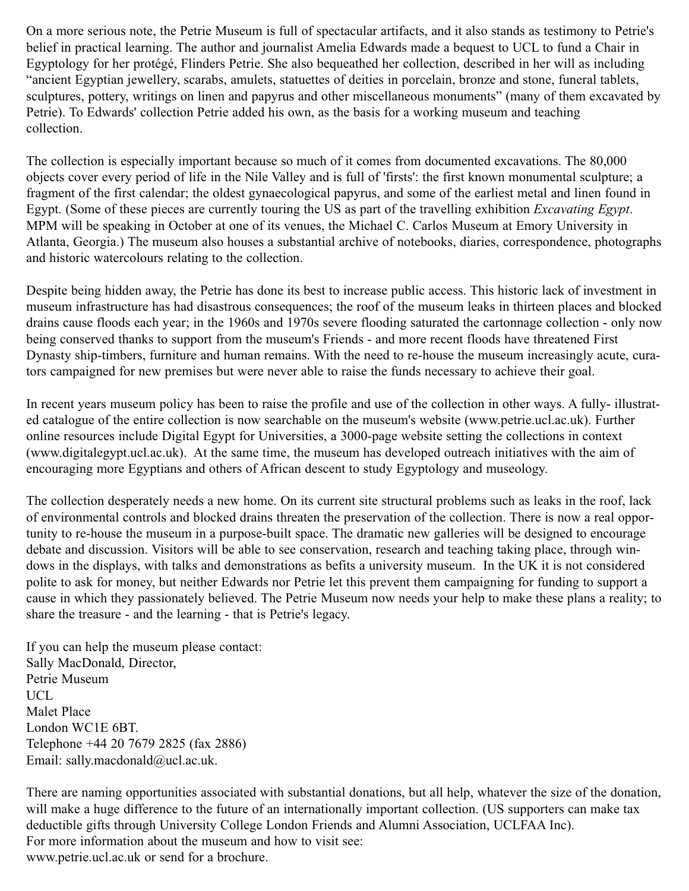On a more serious note, the Petrie Museum is full of spectacular artifacts, and it also stands as testimony to Petrie's belief in practical learning. The author and journalist Amelia Edwards made a bequest to UCL to fund a Chair in Egyptology for her protégé, Flinders Petrie. She also bequeathed her collection, described in her will as including "ancient Egyptian jewellery, scarabs, amulets, statuettes of deities in porcelain, bronze and stone, funeral tablets, sculptures, pottery, writings on linen and papyrus and other miscellaneous monuments" (many of them excavated by Petrie). To Edwards' collection Petrie added his own, as the basis for a working museum and teaching collection.

The collection is especially important because so much of it comes from documented excavations. The 80,000 objects cover every period of life in the Nile Valley and is full of 'firsts': the first known monumental sculpture; a fragment of the first calendar; the oldest gynaecological papyrus, and some of the earliest metal and linen found in Egypt. (Some of these pieces are currently touring the US as part of the travelling exhibition *Excavating Egypt*. MPM will be speaking in October at one of its venues, the Michael C. Carlos Museum at Emory University in Atlanta, Georgia.) The museum also houses a substantial archive of notebooks, diaries, correspondence, photographs and historic watercolours relating to the collection.

Despite being hidden away, the Petrie has done its best to increase public access. This historic lack of investment in museum infrastructure has had disastrous consequences; the roof of the museum leaks in thirteen places and blocked drains cause floods each year; in the 1960s and 1970s severe flooding saturated the cartonnage collection - only now being conserved thanks to support from the museum's Friends - and more recent floods have threatened First Dynasty ship-timbers, furniture and human remains. With the need to re-house the museum increasingly acute, curators campaigned for new premises but were never able to raise the funds necessary to achieve their goal.

In recent years museum policy has been to raise the profile and use of the collection in other ways. A fully- illustrated catalogue of the entire collection is now searchable on the museum's website (www.petrie.ucl.ac.uk). Further online resources include Digital Egypt for Universities, a 3000-page website setting the collections in context (www.digitalegypt.ucl.ac.uk). At the same time, the museum has developed outreach initiatives with the aim of encouraging more Egyptians and others of African descent to study Egyptology and museology.

The collection desperately needs a new home. On its current site structural problems such as leaks in the roof, lack of environmental controls and blocked drains threaten the preservation of the collection. There is now a real opportunity to re-house the museum in a purpose-built space. The dramatic new galleries will be designed to encourage debate and discussion. Visitors will be able to see conservation, research and teaching taking place, through windows in the displays, with talks and demonstrations as befits a university museum. In the UK it is not considered polite to ask for money, but neither Edwards nor Petrie let this prevent them campaigning for funding to support a cause in which they passionately believed. The Petrie Museum now needs your help to make these plans a reality; to share the treasure - and the learning - that is Petrie's legacy.

If you can help the museum please contact: Sally MacDonald, Director, Petrie Museum UCL. Malet Place London WC1E 6BT. Telephone +44 20 7679 2825 (fax 2886) Email: sally.macdonald@ucl.ac.uk.

There are naming opportunities associated with substantial donations, but all help, whatever the size of the donation, will make a huge difference to the future of an internationally important collection. (US supporters can make tax deductible gifts through University College London Friends and Alumni Association, UCLFAA Inc). For more information about the museum and how to visit see: www.petrie.ucl.ac.uk or send for a brochure.